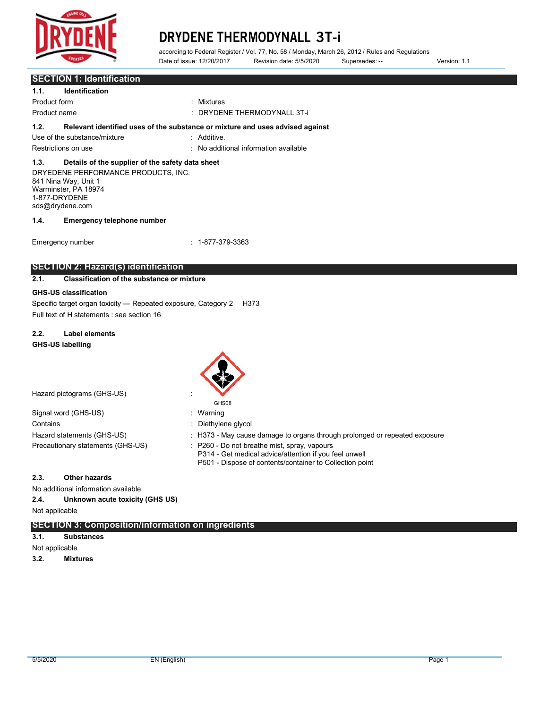

according to Federal Register / Vol. 77, No. 58 / Monday, March 26, 2012 / Rules and Regulations<br>Date of issue: 12/20/2017 Revision date: 5/5/2020 Supersedes: --

Date of issue: 12/20/2017 Revision date: 5/5/2020 Supersedes: -- Version: 1.1

|                                                                                                                                         | Date of Issue. TZ/Z0/Z0TI                                                     | Revision date: 5/5/2020                                                                                                                                          | Supersedes: --                                                             | version: 1.1 |
|-----------------------------------------------------------------------------------------------------------------------------------------|-------------------------------------------------------------------------------|------------------------------------------------------------------------------------------------------------------------------------------------------------------|----------------------------------------------------------------------------|--------------|
| <b>SECTION 1: Identification</b>                                                                                                        |                                                                               |                                                                                                                                                                  |                                                                            |              |
| <b>Identification</b><br>1.1.                                                                                                           |                                                                               |                                                                                                                                                                  |                                                                            |              |
| Product form                                                                                                                            | : Mixtures                                                                    |                                                                                                                                                                  |                                                                            |              |
| Product name                                                                                                                            |                                                                               | : DRYDENE THERMODYNALL 3T-i                                                                                                                                      |                                                                            |              |
| 1.2.                                                                                                                                    | Relevant identified uses of the substance or mixture and uses advised against |                                                                                                                                                                  |                                                                            |              |
| Use of the substance/mixture                                                                                                            | : Additive.                                                                   |                                                                                                                                                                  |                                                                            |              |
| Restrictions on use                                                                                                                     |                                                                               | : No additional information available                                                                                                                            |                                                                            |              |
| 1.3.<br>Details of the supplier of the safety data sheet                                                                                |                                                                               |                                                                                                                                                                  |                                                                            |              |
| DRYEDENE PERFORMANCE PRODUCTS, INC.<br>841 Nina Way, Unit 1<br>Warminster, PA 18974<br>1-877-DRYDENE<br>sds@drydene.com                 |                                                                               |                                                                                                                                                                  |                                                                            |              |
| 1.4.<br><b>Emergency telephone number</b>                                                                                               |                                                                               |                                                                                                                                                                  |                                                                            |              |
| Emergency number                                                                                                                        | $: 1 - 877 - 379 - 3363$                                                      |                                                                                                                                                                  |                                                                            |              |
| <b>SECTION 2: Hazard(s) identification</b><br><b>Classification of the substance or mixture</b><br>2.1.<br><b>GHS-US classification</b> |                                                                               |                                                                                                                                                                  |                                                                            |              |
| Specific target organ toxicity - Repeated exposure, Category 2 H373<br>Full text of H statements : see section 16                       |                                                                               |                                                                                                                                                                  |                                                                            |              |
| 2.2.<br><b>Label elements</b><br><b>GHS-US labelling</b>                                                                                |                                                                               |                                                                                                                                                                  |                                                                            |              |
|                                                                                                                                         |                                                                               |                                                                                                                                                                  |                                                                            |              |
| Hazard pictograms (GHS-US)                                                                                                              |                                                                               |                                                                                                                                                                  |                                                                            |              |
| Signal word (GHS-US)                                                                                                                    | GHS08<br>: Warning                                                            |                                                                                                                                                                  |                                                                            |              |
| Contains                                                                                                                                | Diethylene glycol                                                             |                                                                                                                                                                  |                                                                            |              |
| Hazard statements (GHS-US)                                                                                                              |                                                                               |                                                                                                                                                                  | : H373 - May cause damage to organs through prolonged or repeated exposure |              |
| Precautionary statements (GHS-US)                                                                                                       |                                                                               | P260 - Do not breathe mist, spray, vapours<br>P314 - Get medical advice/attention if you feel unwell<br>P501 - Dispose of contents/container to Collection point |                                                                            |              |
| 2.3.<br><b>Other hazards</b>                                                                                                            |                                                                               |                                                                                                                                                                  |                                                                            |              |
| No additional information available                                                                                                     |                                                                               |                                                                                                                                                                  |                                                                            |              |
| 2.4.<br>Unknown acute toxicity (GHS US)                                                                                                 |                                                                               |                                                                                                                                                                  |                                                                            |              |
| Not applicable                                                                                                                          |                                                                               |                                                                                                                                                                  |                                                                            |              |
| <b>SECTION 3: Composition/information on ingredients</b><br>3.1.<br><b>Substances</b>                                                   |                                                                               |                                                                                                                                                                  |                                                                            |              |
|                                                                                                                                         |                                                                               |                                                                                                                                                                  |                                                                            |              |

Not applicable

**3.2. Mixtures**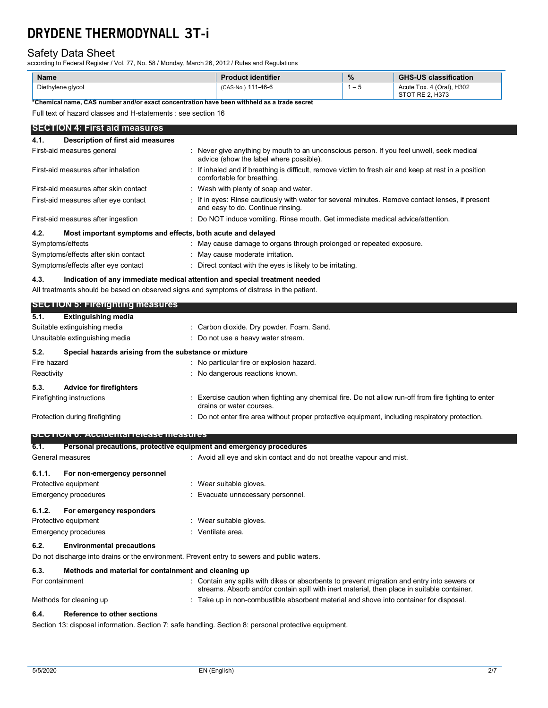# Safety Data Sheet

according to Federal Register / Vol. 77, No. 58 / Monday, March 26, 2012 / Rules and Regulations

| <b>Name</b>       | <b>Product identifier</b> | $\frac{9}{6}$ | <b>GHS-US classification</b>                 |
|-------------------|---------------------------|---------------|----------------------------------------------|
| Diethylene glycol | (CAS-No.) 111-46-6        | - 5           | Acute Tox. 4 (Oral), H302<br>STOT RE 2. H373 |

**\*Chemical name, CAS number and/or exact concentration have been withheld as a trade secret**

Full text of hazard classes and H-statements : see section 16

## **SECTION 4: First aid measures**

| Description of first aid measures<br>4.1.                           |                                                                                                                                       |
|---------------------------------------------------------------------|---------------------------------------------------------------------------------------------------------------------------------------|
| First-aid measures general                                          | : Never give anything by mouth to an unconscious person. If you feel unwell, seek medical<br>advice (show the label where possible).  |
| First-aid measures after inhalation                                 | . If inhaled and if breathing is difficult, remove victim to fresh air and keep at rest in a position<br>comfortable for breathing.   |
| First-aid measures after skin contact                               | : Wash with plenty of soap and water.                                                                                                 |
| First-aid measures after eye contact                                | : If in eyes: Rinse cautiously with water for several minutes. Remove contact lenses, if present<br>and easy to do. Continue rinsing. |
| First-aid measures after ingestion                                  | : Do NOT induce vomiting. Rinse mouth. Get immediate medical advice/attention.                                                        |
| 4.2.<br>Most important symptoms and effects, both acute and delayed |                                                                                                                                       |
| Symptoms/effects                                                    | : May cause damage to organs through prolonged or repeated exposure.                                                                  |
| Symptoms/effects after skin contact                                 | : May cause moderate irritation.                                                                                                      |
| Symptoms/effects after eye contact                                  | : Direct contact with the eyes is likely to be irritating.                                                                            |

# **4.3. Indication of any immediate medical attention and special treatment needed**

All treatments should be based on observed signs and symptoms of distress in the patient.

|                              | <b>SECTION 5: Firefighting measures</b>                             |                                                                                                                                                                                            |
|------------------------------|---------------------------------------------------------------------|--------------------------------------------------------------------------------------------------------------------------------------------------------------------------------------------|
| 5.1.                         | <b>Extinguishing media</b>                                          |                                                                                                                                                                                            |
| Suitable extinguishing media |                                                                     | : Carbon dioxide. Dry powder. Foam. Sand.                                                                                                                                                  |
|                              | Unsuitable extinguishing media                                      | : Do not use a heavy water stream.                                                                                                                                                         |
| 5.2.                         | Special hazards arising from the substance or mixture               |                                                                                                                                                                                            |
| Fire hazard                  |                                                                     | : No particular fire or explosion hazard.                                                                                                                                                  |
| Reactivity                   |                                                                     | : No dangerous reactions known.                                                                                                                                                            |
| 5.3.                         | <b>Advice for firefighters</b>                                      |                                                                                                                                                                                            |
|                              | Firefighting instructions                                           | : Exercise caution when fighting any chemical fire. Do not allow run-off from fire fighting to enter<br>drains or water courses.                                                           |
|                              | Protection during firefighting                                      | : Do not enter fire area without proper protective equipment, including respiratory protection.                                                                                            |
|                              | <b>SECTION 6: Accidental release measures</b>                       |                                                                                                                                                                                            |
| 6.1.                         | Personal precautions, protective equipment and emergency procedures |                                                                                                                                                                                            |
|                              | General measures                                                    | : Avoid all eye and skin contact and do not breathe vapour and mist.                                                                                                                       |
| 6.1.1.                       | For non-emergency personnel                                         |                                                                                                                                                                                            |
|                              | Protective equipment                                                | : Wear suitable gloves.                                                                                                                                                                    |
|                              | <b>Emergency procedures</b>                                         | : Evacuate unnecessary personnel.                                                                                                                                                          |
| 6.1.2.                       | For emergency responders                                            |                                                                                                                                                                                            |
|                              | Protective equipment                                                | : Wear suitable gloves.                                                                                                                                                                    |
|                              | <b>Emergency procedures</b>                                         | : Ventilate area.                                                                                                                                                                          |
| 6.2.                         | <b>Environmental precautions</b>                                    |                                                                                                                                                                                            |
|                              |                                                                     | Do not discharge into drains or the environment. Prevent entry to sewers and public waters.                                                                                                |
| 6.3.                         | Methods and material for containment and cleaning up                |                                                                                                                                                                                            |
| For containment              |                                                                     | : Contain any spills with dikes or absorbents to prevent migration and entry into sewers or<br>streams. Absorb and/or contain spill with inert material, then place in suitable container. |
|                              | Methods for cleaning up                                             | : Take up in non-combustible absorbent material and shove into container for disposal.                                                                                                     |
|                              |                                                                     |                                                                                                                                                                                            |

# **6.4. Reference to other sections**

Section 13: disposal information. Section 7: safe handling. Section 8: personal protective equipment.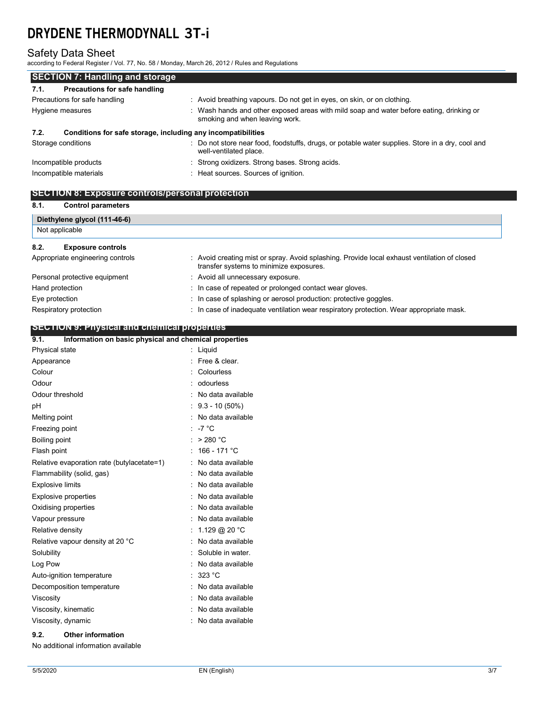# Safety Data Sheet

according to Federal Register / Vol. 77, No. 58 / Monday, March 26, 2012 / Rules and Regulations

| <b>SECTION 7: Handling and storage</b>                               |                                                                                                                            |  |  |  |
|----------------------------------------------------------------------|----------------------------------------------------------------------------------------------------------------------------|--|--|--|
| Precautions for safe handling<br>7.1.                                |                                                                                                                            |  |  |  |
| Precautions for safe handling                                        | : Avoid breathing vapours. Do not get in eyes, on skin, or on clothing.                                                    |  |  |  |
| Hygiene measures                                                     | : Wash hands and other exposed areas with mild soap and water before eating, drinking or<br>smoking and when leaving work. |  |  |  |
| Conditions for safe storage, including any incompatibilities<br>7.2. |                                                                                                                            |  |  |  |
| Storage conditions                                                   | : Do not store near food, foodstuffs, drugs, or potable water supplies. Store in a dry, cool and<br>well-ventilated place. |  |  |  |
| Incompatible products                                                | : Strong oxidizers. Strong bases. Strong acids.                                                                            |  |  |  |
| Incompatible materials                                               | : Heat sources. Sources of ignition.                                                                                       |  |  |  |

# **SECTION 8: Exposure controls/personal protection**

## **8.1. Control parameters**

| Diethylene glycol (111-46-6)     |                                                                                                                                         |  |
|----------------------------------|-----------------------------------------------------------------------------------------------------------------------------------------|--|
| Not applicable                   |                                                                                                                                         |  |
| 8.2.<br><b>Exposure controls</b> |                                                                                                                                         |  |
| Appropriate engineering controls | : Avoid creating mist or spray. Avoid splashing. Provide local exhaust ventilation of closed<br>transfer systems to minimize exposures. |  |
| Personal protective equipment    | : Avoid all unnecessary exposure.                                                                                                       |  |
| Hand protection                  | : In case of repeated or prolonged contact wear gloves.                                                                                 |  |
| Eye protection                   | : In case of splashing or aerosol production: protective goggles.                                                                       |  |
| Respiratory protection           | : In case of inadequate ventilation wear respiratory protection. Wear appropriate mask.                                                 |  |

# **SECTION 9: Physical and chemical properties**

| Information on basic physical and chemical properties<br>9.1. |  |                   |
|---------------------------------------------------------------|--|-------------------|
| Physical state                                                |  | Liquid            |
| Appearance                                                    |  | Free & clear.     |
| Colour                                                        |  | Colourless        |
| Odour                                                         |  | odourless         |
| Odour threshold                                               |  | No data available |
| рH                                                            |  | $9.3 - 10(50\%)$  |
| Melting point                                                 |  | No data available |
| Freezing point                                                |  | $-7 °C$           |
| Boiling point                                                 |  | > 280 °C          |
| Flash point                                                   |  | 166 - 171 °C      |
| Relative evaporation rate (butylacetate=1)                    |  | No data available |
| Flammability (solid, gas)                                     |  | No data available |
| <b>Explosive limits</b>                                       |  | No data available |
| <b>Explosive properties</b>                                   |  | No data available |
| Oxidising properties                                          |  | No data available |
| Vapour pressure                                               |  | No data available |
| Relative density                                              |  | 1.129 @ 20 °C     |
| Relative vapour density at 20 °C                              |  | No data available |
| Solubility                                                    |  | Soluble in water. |
| Log Pow                                                       |  | No data available |
| Auto-ignition temperature                                     |  | 323 °C            |
| Decomposition temperature                                     |  | No data available |
| Viscosity                                                     |  | No data available |
| Viscosity, kinematic                                          |  | No data available |
| Viscosity, dynamic                                            |  | No data available |

# **9.2. Other information**

No additional information available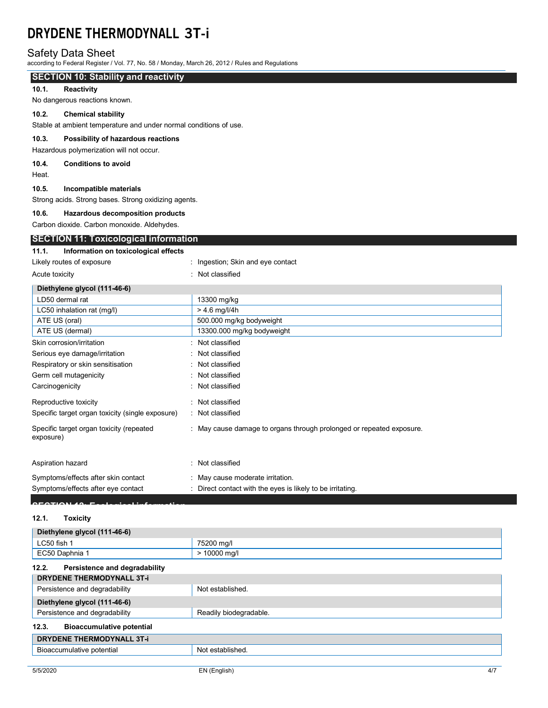# Safety Data Sheet

according to Federal Register / Vol. 77, No. 58 / Monday, March 26, 2012 / Rules and Regulations

# **SECTION 10: Stability and reactivity**

## **10.1. Reactivity**

No dangerous reactions known.

# **10.2. Chemical stability**

Stable at ambient temperature and under normal conditions of use.

#### **10.3. Possibility of hazardous reactions**

Hazardous polymerization will not occur.

# **10.4. Conditions to avoid**

Heat.

#### **10.5. Incompatible materials**

Strong acids. Strong bases. Strong oxidizing agents.

#### **10.6. Hazardous decomposition products**

Carbon dioxide. Carbon monoxide. Aldehydes.

# **SECTION 11: Toxicological information**

# **11.1. Information on toxicological effects** Likely routes of exposure **interprettive and intervalse of exposure**  $\cdot$  ingestion; Skin and eye contact

| Acute toxicity                                        | : Not classified                                                     |
|-------------------------------------------------------|----------------------------------------------------------------------|
| Diethylene glycol (111-46-6)                          |                                                                      |
| LD50 dermal rat                                       | 13300 mg/kg                                                          |
| LC50 inhalation rat (mg/l)                            | $> 4.6$ mg/l/4h                                                      |
| ATE US (oral)                                         | 500.000 mg/kg bodyweight                                             |
| ATE US (dermal)                                       | 13300.000 mg/kg bodyweight                                           |
| Skin corrosion/irritation                             | : Not classified                                                     |
| Serious eye damage/irritation                         | : Not classified                                                     |
| Respiratory or skin sensitisation                     | : Not classified                                                     |
| Germ cell mutagenicity                                | : Not classified                                                     |
| Carcinogenicity                                       | : Not classified                                                     |
| Reproductive toxicity                                 | : Not classified                                                     |
| Specific target organ toxicity (single exposure)      | : Not classified                                                     |
| Specific target organ toxicity (repeated<br>exposure) | : May cause damage to organs through prolonged or repeated exposure. |
| Aspiration hazard                                     | : Not classified                                                     |
| Symptoms/effects after skin contact                   | : May cause moderate irritation.                                     |
| Symptoms/effects after eye contact                    | : Direct contact with the eyes is likely to be irritating.           |

# **SECTION 12: Ecological information**

# **12.1. Toxicity**

| Diethylene glycol (111-46-6)              |                        |
|-------------------------------------------|------------------------|
| LC50 fish 1                               | 75200 mg/l             |
| EC50 Daphnia 1                            | > 10000 mg/l           |
| 12.2.<br>Persistence and degradability    |                        |
| <b>DRYDENE THERMODYNALL 3T-i</b>          |                        |
| Persistence and degradability             | Not established        |
| Diethylene glycol (111-46-6)              |                        |
| Persistence and degradability             | Readily biodegradable. |
| 12.3.<br><b>Bioaccumulative potential</b> |                        |
| <b>DRYDENE THERMODYNALL 3T-i</b>          |                        |
| Bioaccumulative potential                 | Not established.       |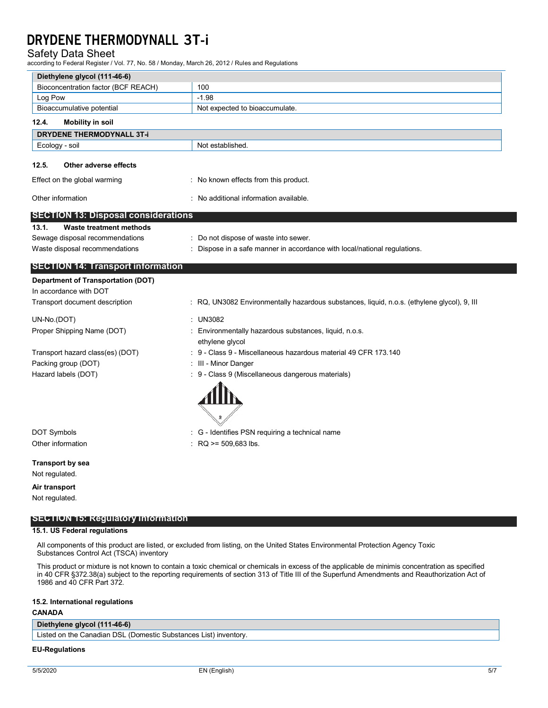# Safety Data Sheet

according to Federal Register / Vol. 77, No. 58 / Monday, March 26, 2012 / Rules and Regulations

| Diethylene glycol (111-46-6)               |                                                                                             |
|--------------------------------------------|---------------------------------------------------------------------------------------------|
| Bioconcentration factor (BCF REACH)        | 100                                                                                         |
| Log Pow                                    | $-1.98$                                                                                     |
| Bioaccumulative potential                  | Not expected to bioaccumulate.                                                              |
| 12.4.<br><b>Mobility in soil</b>           |                                                                                             |
| <b>DRYDENE THERMODYNALL 3T-i</b>           |                                                                                             |
| Ecology - soil                             | Not established.                                                                            |
| 12.5.<br>Other adverse effects             |                                                                                             |
| Effect on the global warming               | : No known effects from this product.                                                       |
| Other information                          | : No additional information available.                                                      |
| <b>SECTION 13: Disposal considerations</b> |                                                                                             |
| <b>Waste treatment methods</b><br>13.1.    |                                                                                             |
| Sewage disposal recommendations            | : Do not dispose of waste into sewer.                                                       |
| Waste disposal recommendations             | : Dispose in a safe manner in accordance with local/national regulations.                   |
| <b>SECTION 14: Transport information</b>   |                                                                                             |
| <b>Department of Transportation (DOT)</b>  |                                                                                             |
| In accordance with DOT                     |                                                                                             |
| Transport document description             | : RQ, UN3082 Environmentally hazardous substances, liquid, n.o.s. (ethylene glycol), 9, Ill |
| UN-No.(DOT)                                | : UN3082                                                                                    |
| Proper Shipping Name (DOT)                 | : Environmentally hazardous substances, liquid, n.o.s.<br>ethylene glycol                   |
| Transport hazard class(es) (DOT)           | : 9 - Class 9 - Miscellaneous hazardous material 49 CFR 173.140                             |
| Packing group (DOT)                        | : III - Minor Danger                                                                        |
| Hazard labels (DOT)                        | : 9 - Class 9 (Miscellaneous dangerous materials)                                           |
|                                            |                                                                                             |
| <b>DOT Symbols</b>                         | : G - Identifies PSN requiring a technical name                                             |
| Other information                          | $RQ \ge 509,683$ lbs.                                                                       |
| <b>Transport by sea</b>                    |                                                                                             |
| Not regulated.                             |                                                                                             |
| Air transport                              |                                                                                             |
| Not regulated.                             |                                                                                             |

**SECTION 15: Regulatory information**

#### **15.1. US Federal regulations**

All components of this product are listed, or excluded from listing, on the United States Environmental Protection Agency Toxic Substances Control Act (TSCA) inventory

This product or mixture is not known to contain a toxic chemical or chemicals in excess of the applicable de minimis concentration as specified in 40 CFR §372.38(a) subject to the reporting requirements of section 313 of Title III of the Superfund Amendments and Reauthorization Act of 1986 and 40 CFR Part 372.

#### **15.2. International regulations**

### **CANADA**

# **Diethylene glycol (111-46-6)**

Listed on the Canadian DSL (Domestic Substances List) inventory.

# **EU-Regulations**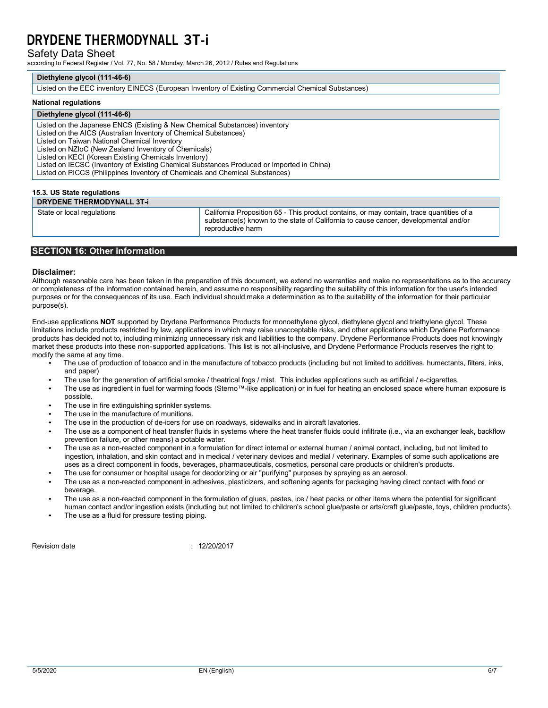Safety Data Sheet

according to Federal Register / Vol. 77, No. 58 / Monday, March 26, 2012 / Rules and Regulations

#### **Diethylene glycol (111-46-6)**

Listed on the EEC inventory EINECS (European Inventory of Existing Commercial Chemical Substances)

#### **National regulations**

# **Diethylene glycol (111-46-6)**

Listed on the Japanese ENCS (Existing & New Chemical Substances) inventory Listed on the AICS (Australian Inventory of Chemical Substances) Listed on Taiwan National Chemical Inventory Listed on NZIoC (New Zealand Inventory of Chemicals) Listed on KECI (Korean Existing Chemicals Inventory) Listed on IECSC (Inventory of Existing Chemical Substances Produced or Imported in China) Listed on PICCS (Philippines Inventory of Chemicals and Chemical Substances)

# **15.3. US State regulations DRYDENE THERMODYNALL 3T-i**

State or local regulations **California Proposition 65 - This product contains**, or may contain, trace quantities of a substance(s) known to the state of California to cause cancer, developmental and/or reproductive harm

## **SECTION 16: Other information**

#### **Disclaimer:**

Although reasonable care has been taken in the preparation of this document, we extend no warranties and make no representations as to the accuracy or completeness of the information contained herein, and assume no responsibility regarding the suitability of this information for the user's intended purposes or for the consequences of its use. Each individual should make a determination as to the suitability of the information for their particular purpose(s).

End-use applications **NOT** supported by Drydene Performance Products for monoethylene glycol, diethylene glycol and triethylene glycol. These limitations include products restricted by law, applications in which may raise unacceptable risks, and other applications which Drydene Performance products has decided not to, including minimizing unnecessary risk and liabilities to the company. Drydene Performance Products does not knowingly market these products into these non- supported applications. This list is not all-inclusive, and Drydene Performance Products reserves the right to modify the same at any time.

- The use of production of tobacco and in the manufacture of tobacco products (including but not limited to additives, humectants, filters, inks, and paper)
- The use for the generation of artificial smoke / theatrical fogs / mist. This includes applications such as artificial / e-cigarettes.
- The use as ingredient in fuel for warming foods (Sterno™-like application) or in fuel for heating an enclosed space where human exposure is possible.
- The use in fire extinguishing sprinkler systems.
- The use in the manufacture of munitions.
- The use in the production of de-icers for use on roadways, sidewalks and in aircraft lavatories.
- The use as a component of heat transfer fluids in systems where the heat transfer fluids could infiltrate (i.e., via an exchanger leak, backflow prevention failure, or other means) a potable water.
- The use as a non-reacted component in a formulation for direct internal or external human / animal contact, including, but not limited to ingestion, inhalation, and skin contact and in medical / veterinary devices and medial / veterinary. Examples of some such applications are uses as a direct component in foods, beverages, pharmaceuticals, cosmetics, personal care products or children's products.
- The use for consumer or hospital usage for deodorizing or air "purifying" purposes by spraying as an aerosol.
- The use as a non-reacted component in adhesives, plasticizers, and softening agents for packaging having direct contact with food or beverage.
- The use as a non-reacted component in the formulation of glues, pastes, ice / heat packs or other items where the potential for significant human contact and/or ingestion exists (including but not limited to children's school glue/paste or arts/craft glue/paste, toys, children products).
- The use as a fluid for pressure testing piping.

Revision date : 12/20/2017